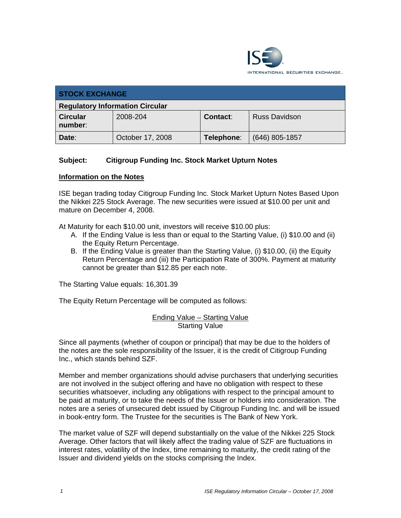

| <b>STOCK EXCHANGE</b>                  |                  |            |                      |
|----------------------------------------|------------------|------------|----------------------|
| <b>Regulatory Information Circular</b> |                  |            |                      |
| <b>Circular</b><br>number:             | 2008-204         | Contact:   | <b>Russ Davidson</b> |
| Date:                                  | October 17, 2008 | Telephone: | $(646)$ 805-1857     |

## **Subject: Citigroup Funding Inc. Stock Market Upturn Notes**

## **Information on the Notes**

ISE began trading today Citigroup Funding Inc. Stock Market Upturn Notes Based Upon the Nikkei 225 Stock Average. The new securities were issued at \$10.00 per unit and mature on December 4, 2008.

At Maturity for each \$10.00 unit, investors will receive \$10.00 plus:

- A. If the Ending Value is less than or equal to the Starting Value, (i) \$10.00 and (ii) the Equity Return Percentage.
- B. If the Ending Value is greater than the Starting Value, (i) \$10.00, (ii) the Equity Return Percentage and (iii) the Participation Rate of 300%. Payment at maturity cannot be greater than \$12.85 per each note.

The Starting Value equals: 16,301.39

The Equity Return Percentage will be computed as follows:

Ending Value – Starting Value Starting Value

Since all payments (whether of coupon or principal) that may be due to the holders of the notes are the sole responsibility of the Issuer, it is the credit of Citigroup Funding Inc., which stands behind SZF.

Member and member organizations should advise purchasers that underlying securities are not involved in the subject offering and have no obligation with respect to these securities whatsoever, including any obligations with respect to the principal amount to be paid at maturity, or to take the needs of the Issuer or holders into consideration. The notes are a series of unsecured debt issued by Citigroup Funding Inc. and will be issued in book-entry form. The Trustee for the securities is The Bank of New York.

The market value of SZF will depend substantially on the value of the Nikkei 225 Stock Average. Other factors that will likely affect the trading value of SZF are fluctuations in interest rates, volatility of the Index, time remaining to maturity, the credit rating of the Issuer and dividend yields on the stocks comprising the Index.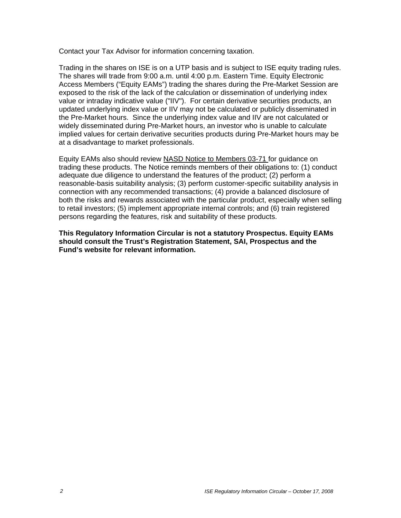Contact your Tax Advisor for information concerning taxation.

Trading in the shares on ISE is on a UTP basis and is subject to ISE equity trading rules. The shares will trade from 9:00 a.m. until 4:00 p.m. Eastern Time. Equity Electronic Access Members ("Equity EAMs") trading the shares during the Pre-Market Session are exposed to the risk of the lack of the calculation or dissemination of underlying index value or intraday indicative value ("IIV"). For certain derivative securities products, an updated underlying index value or IIV may not be calculated or publicly disseminated in the Pre-Market hours. Since the underlying index value and IIV are not calculated or widely disseminated during Pre-Market hours, an investor who is unable to calculate implied values for certain derivative securities products during Pre-Market hours may be at a disadvantage to market professionals.

Equity EAMs also should review NASD Notice to Members 03-71 for guidance on trading these products. The Notice reminds members of their obligations to: (1) conduct adequate due diligence to understand the features of the product; (2) perform a reasonable-basis suitability analysis; (3) perform customer-specific suitability analysis in connection with any recommended transactions; (4) provide a balanced disclosure of both the risks and rewards associated with the particular product, especially when selling to retail investors; (5) implement appropriate internal controls; and (6) train registered persons regarding the features, risk and suitability of these products.

**This Regulatory Information Circular is not a statutory Prospectus. Equity EAMs should consult the Trust's Registration Statement, SAI, Prospectus and the Fund's website for relevant information.**